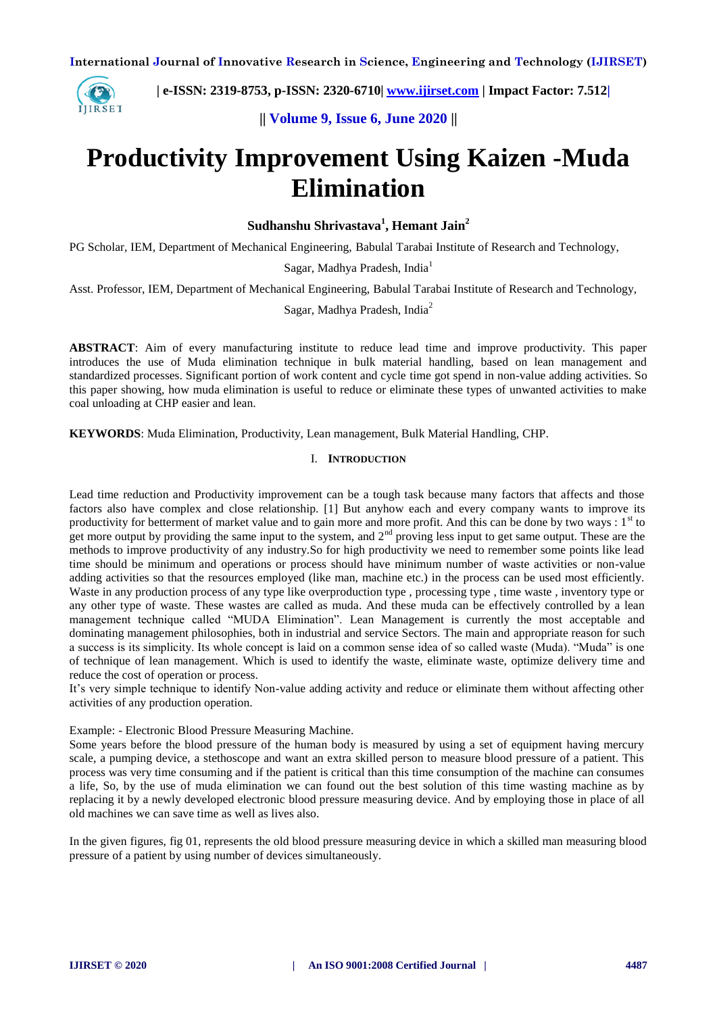

 **| e-ISSN: 2319-8753, p-ISSN: 2320-6710| [www.ijirset.com](http://www.ijirset.com/) | Impact Factor: 7.512|**

**|| Volume 9, Issue 6, June 2020 ||** 

# **Productivity Improvement Using Kaizen -Muda Elimination**

**Sudhanshu Shrivastava<sup>1</sup> , Hemant Jain<sup>2</sup>**

PG Scholar, IEM, Department of Mechanical Engineering, Babulal Tarabai Institute of Research and Technology,

Sagar, Madhya Pradesh, India<sup>1</sup>

Asst. Professor, IEM, Department of Mechanical Engineering, Babulal Tarabai Institute of Research and Technology,

Sagar, Madhya Pradesh, India<sup>2</sup>

**ABSTRACT**: Aim of every manufacturing institute to reduce lead time and improve productivity. This paper introduces the use of Muda elimination technique in bulk material handling, based on lean management and standardized processes. Significant portion of work content and cycle time got spend in non-value adding activities. So this paper showing, how muda elimination is useful to reduce or eliminate these types of unwanted activities to make coal unloading at CHP easier and lean.

**KEYWORDS**: Muda Elimination, Productivity, Lean management, Bulk Material Handling, CHP.

#### I. **INTRODUCTION**

Lead time reduction and Productivity improvement can be a tough task because many factors that affects and those factors also have complex and close relationship. [1] But anyhow each and every company wants to improve its productivity for betterment of market value and to gain more and more profit. And this can be done by two ways :  $1<sup>st</sup>$  to get more output by providing the same input to the system, and  $2<sup>nd</sup>$  proving less input to get same output. These are the methods to improve productivity of any industry.So for high productivity we need to remember some points like lead time should be minimum and operations or process should have minimum number of waste activities or non-value adding activities so that the resources employed (like man, machine etc.) in the process can be used most efficiently. Waste in any production process of any type like overproduction type, processing type, time waste, inventory type or any other type of waste. These wastes are called as muda. And these muda can be effectively controlled by a lean management technique called "MUDA Elimination". Lean Management is currently the most acceptable and dominating management philosophies, both in industrial and service Sectors. The main and appropriate reason for such a success is its simplicity. Its whole concept is laid on a common sense idea of so called waste (Muda). "Muda" is one of technique of lean management. Which is used to identify the waste, eliminate waste, optimize delivery time and reduce the cost of operation or process.

It's very simple technique to identify Non-value adding activity and reduce or eliminate them without affecting other activities of any production operation.

Example: - Electronic Blood Pressure Measuring Machine.

Some years before the blood pressure of the human body is measured by using a set of equipment having mercury scale, a pumping device, a stethoscope and want an extra skilled person to measure blood pressure of a patient. This process was very time consuming and if the patient is critical than this time consumption of the machine can consumes a life, So, by the use of muda elimination we can found out the best solution of this time wasting machine as by replacing it by a newly developed electronic blood pressure measuring device. And by employing those in place of all old machines we can save time as well as lives also.

In the given figures, fig 01, represents the old blood pressure measuring device in which a skilled man measuring blood pressure of a patient by using number of devices simultaneously.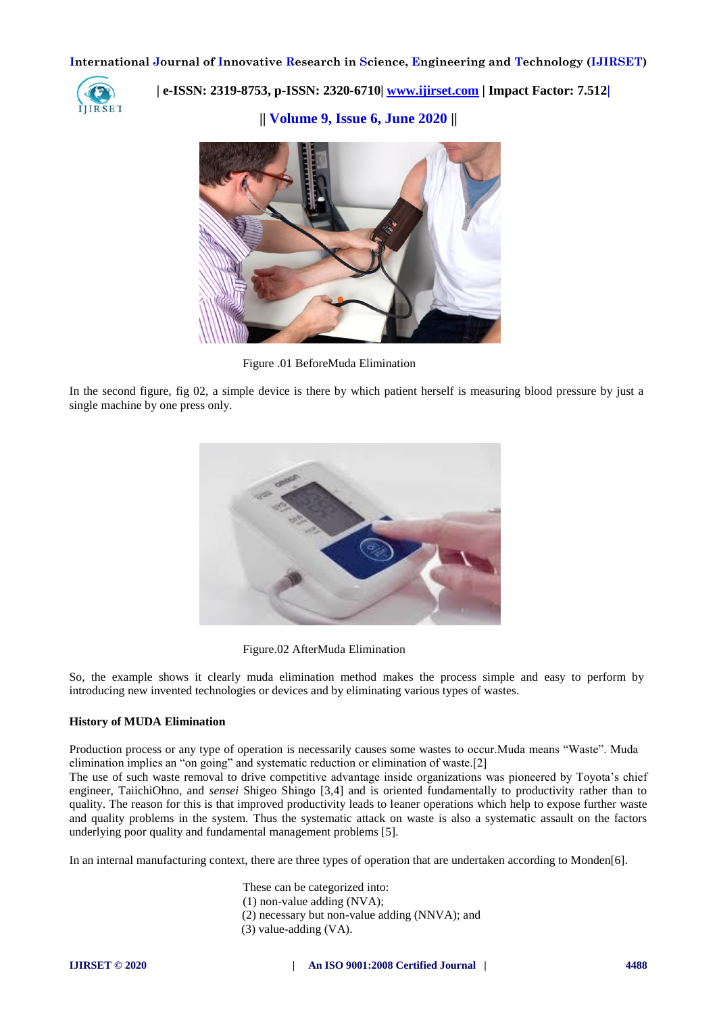

 **| e-ISSN: 2319-8753, p-ISSN: 2320-6710| [www.ijirset.com](http://www.ijirset.com/) | Impact Factor: 7.512|**

**|| Volume 9, Issue 6, June 2020 ||** 



Figure .01 BeforeMuda Elimination

In the second figure, fig 02, a simple device is there by which patient herself is measuring blood pressure by just a single machine by one press only.



Figure.02 AfterMuda Elimination

So, the example shows it clearly muda elimination method makes the process simple and easy to perform by introducing new invented technologies or devices and by eliminating various types of wastes.

#### **History of MUDA Elimination**

Production process or any type of operation is necessarily causes some wastes to occur.Muda means "Waste". Muda elimination implies an "on going" and systematic reduction or elimination of waste.[2]

The use of such waste removal to drive competitive advantage inside organizations was pioneered by Toyota's chief engineer, TaiichiOhno, and *sensei* Shigeo Shingo [3,4] and is oriented fundamentally to productivity rather than to quality. The reason for this is that improved productivity leads to leaner operations which help to expose further waste and quality problems in the system. Thus the systematic attack on waste is also a systematic assault on the factors underlying poor quality and fundamental management problems [5].

In an internal manufacturing context, there are three types of operation that are undertaken according to Monden[6].

These can be categorized into:

- (1) non-value adding (NVA);
- (2) necessary but non-value adding (NNVA); and
- (3) value-adding (VA).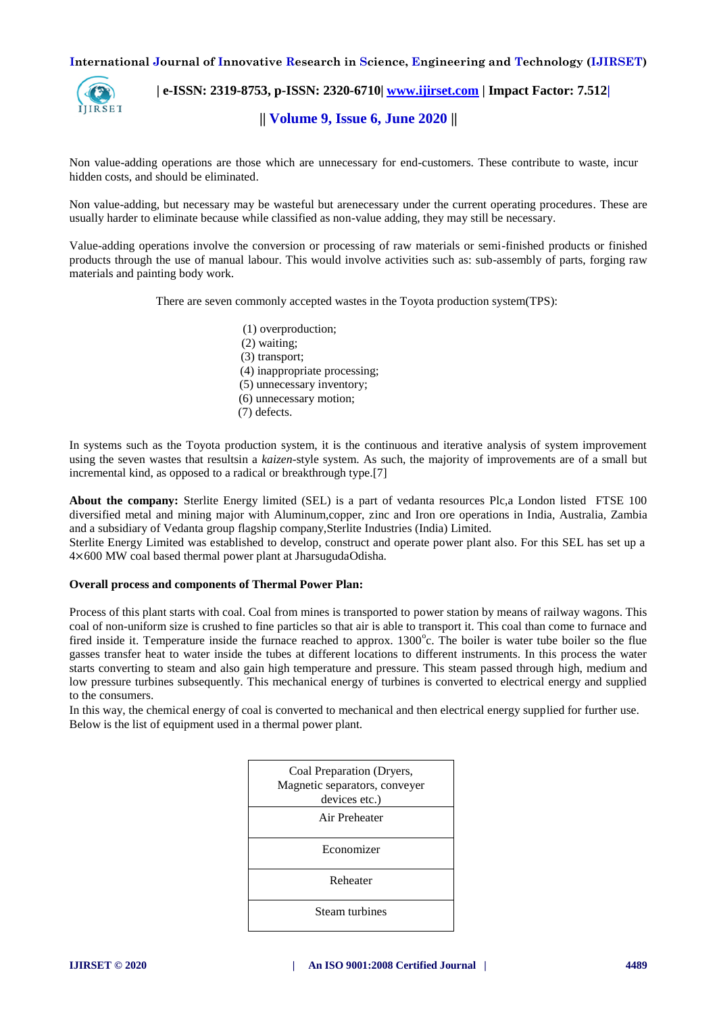

 **| e-ISSN: 2319-8753, p-ISSN: 2320-6710| [www.ijirset.com](http://www.ijirset.com/) | Impact Factor: 7.512|**

**|| Volume 9, Issue 6, June 2020 ||** 

Non value-adding operations are those which are unnecessary for end-customers. These contribute to waste, incur hidden costs, and should be eliminated.

Non value-adding, but necessary may be wasteful but arenecessary under the current operating procedures. These are usually harder to eliminate because while classified as non-value adding, they may still be necessary.

Value-adding operations involve the conversion or processing of raw materials or semi-finished products or finished products through the use of manual labour. This would involve activities such as: sub-assembly of parts, forging raw materials and painting body work.

There are seven commonly accepted wastes in the Toyota production system(TPS):

(1) overproduction; (2) waiting; (3) transport; (4) inappropriate processing; (5) unnecessary inventory; (6) unnecessary motion; (7) defects.

In systems such as the Toyota production system, it is the continuous and iterative analysis of system improvement using the seven wastes that resultsin a *kaizen-*style system. As such, the majority of improvements are of a small but incremental kind, as opposed to a radical or breakthrough type.[7]

**About the company:** Sterlite Energy limited (SEL) is a part of vedanta resources Plc,a London listed FTSE 100 diversified metal and mining major with Aluminum,copper, zinc and Iron ore operations in India, Australia, Zambia and a subsidiary of Vedanta group flagship company,Sterlite Industries (India) Limited.

Sterlite Energy Limited was established to develop, construct and operate power plant also. For this SEL has set up a 4×600 MW coal based thermal power plant at JharsugudaOdisha.

#### **Overall process and components of Thermal Power Plan:**

Process of this plant starts with coal. Coal from mines is transported to power station by means of railway wagons. This coal of non-uniform size is crushed to fine particles so that air is able to transport it. This coal than come to furnace and fired inside it. Temperature inside the furnace reached to approx. 1300°c. The boiler is water tube boiler so the flue gasses transfer heat to water inside the tubes at different locations to different instruments. In this process the water starts converting to steam and also gain high temperature and pressure. This steam passed through high, medium and low pressure turbines subsequently. This mechanical energy of turbines is converted to electrical energy and supplied to the consumers.

In this way, the chemical energy of coal is converted to mechanical and then electrical energy supplied for further use. Below is the list of equipment used in a thermal power plant.

| Coal Preparation (Dryers,<br>Magnetic separators, conveyer<br>devices etc.) |
|-----------------------------------------------------------------------------|
| Air Preheater                                                               |
| Economizer                                                                  |
| Reheater                                                                    |
| Steam turbines                                                              |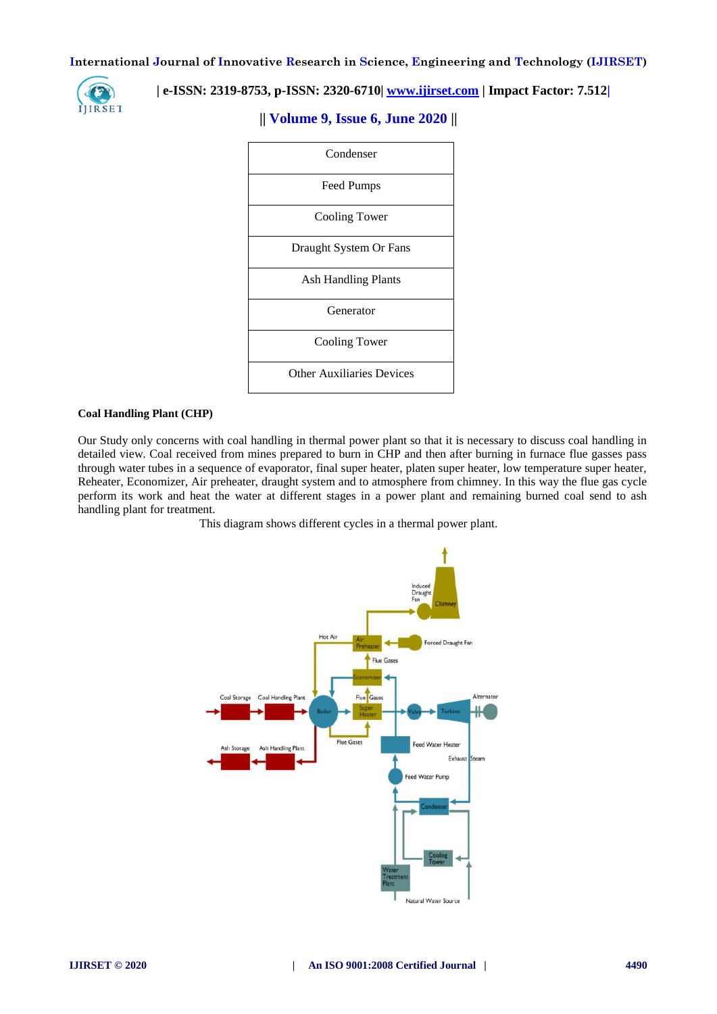

# **| e-ISSN: 2319-8753, p-ISSN: 2320-6710| [www.ijirset.com](http://www.ijirset.com/) | Impact Factor: 7.512|**



# **|| Volume 9, Issue 6, June 2020 ||**

#### **Coal Handling Plant (CHP)**

Our Study only concerns with coal handling in thermal power plant so that it is necessary to discuss coal handling in detailed view. Coal received from mines prepared to burn in CHP and then after burning in furnace flue gasses pass through water tubes in a sequence of evaporator, final super heater, platen super heater, low temperature super heater, Reheater, Economizer, Air preheater, draught system and to atmosphere from chimney. In this way the flue gas cycle perform its work and heat the water at different stages in a power plant and remaining burned coal send to ash handling plant for treatment.

This diagram shows different cycles in a thermal power plant.

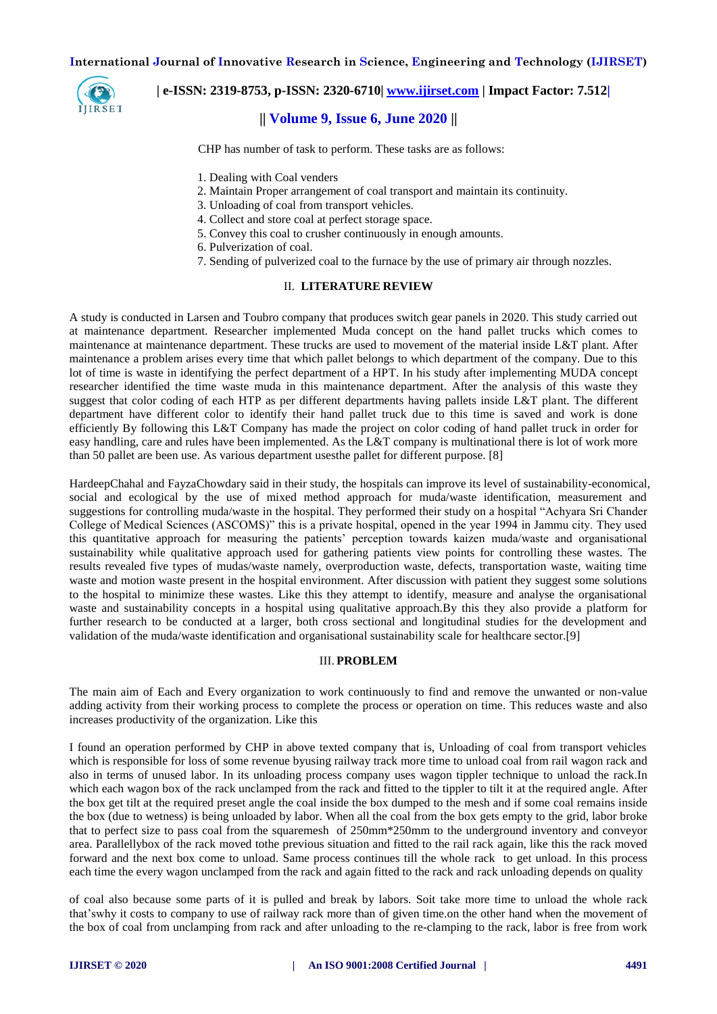

#### **| e-ISSN: 2319-8753, p-ISSN: 2320-6710| [www.ijirset.com](http://www.ijirset.com/) | Impact Factor: 7.512|**

# **|| Volume 9, Issue 6, June 2020 ||**

CHP has number of task to perform. These tasks are as follows:

- 1. Dealing with Coal venders
- 2. Maintain Proper arrangement of coal transport and maintain its continuity.
- 3. Unloading of coal from transport vehicles.
- 4. Collect and store coal at perfect storage space.
- 5. Convey this coal to crusher continuously in enough amounts.
- 6. Pulverization of coal.
- 7. Sending of pulverized coal to the furnace by the use of primary air through nozzles.

#### II. **LITERATURE REVIEW**

A study is conducted in Larsen and Toubro company that produces switch gear panels in 2020. This study carried out at maintenance department. Researcher implemented Muda concept on the hand pallet trucks which comes to maintenance at maintenance department. These trucks are used to movement of the material inside L&T plant. After maintenance a problem arises every time that which pallet belongs to which department of the company. Due to this lot of time is waste in identifying the perfect department of a HPT. In his study after implementing MUDA concept researcher identified the time waste muda in this maintenance department. After the analysis of this waste they suggest that color coding of each HTP as per different departments having pallets inside L&T plant. The different department have different color to identify their hand pallet truck due to this time is saved and work is done efficiently By following this L&T Company has made the project on color coding of hand pallet truck in order for easy handling, care and rules have been implemented. As the L&T company is multinational there is lot of work more than 50 pallet are been use. As various department usesthe pallet for different purpose. [8]

HardeepChahal and FayzaChowdary said in their study, the hospitals can improve its level of sustainability-economical, social and ecological by the use of mixed method approach for muda/waste identification, measurement and suggestions for controlling muda/waste in the hospital. They performed their study on a hospital "Achyara Sri Chander College of Medical Sciences (ASCOMS)" this is a private hospital, opened in the year 1994 in Jammu city. They used this quantitative approach for measuring the patients' perception towards kaizen muda/waste and organisational sustainability while qualitative approach used for gathering patients view points for controlling these wastes. The results revealed five types of mudas/waste namely, overproduction waste, defects, transportation waste, waiting time waste and motion waste present in the hospital environment. After discussion with patient they suggest some solutions to the hospital to minimize these wastes. Like this they attempt to identify, measure and analyse the organisational waste and sustainability concepts in a hospital using qualitative approach.By this they also provide a platform for further research to be conducted at a larger, both cross sectional and longitudinal studies for the development and validation of the muda/waste identification and organisational sustainability scale for healthcare sector.[9]

#### III. **PROBLEM**

The main aim of Each and Every organization to work continuously to find and remove the unwanted or non-value adding activity from their working process to complete the process or operation on time. This reduces waste and also increases productivity of the organization. Like this

I found an operation performed by CHP in above texted company that is, Unloading of coal from transport vehicles which is responsible for loss of some revenue byusing railway track more time to unload coal from rail wagon rack and also in terms of unused labor. In its unloading process company uses wagon tippler technique to unload the rack.In which each wagon box of the rack unclamped from the rack and fitted to the tippler to tilt it at the required angle. After the box get tilt at the required preset angle the coal inside the box dumped to the mesh and if some coal remains inside the box (due to wetness) is being unloaded by labor. When all the coal from the box gets empty to the grid, labor broke that to perfect size to pass coal from the squaremesh of 250mm\*250mm to the underground inventory and conveyor area. Parallellybox of the rack moved tothe previous situation and fitted to the rail rack again, like this the rack moved forward and the next box come to unload. Same process continues till the whole rack to get unload. In this process each time the every wagon unclamped from the rack and again fitted to the rack and rack unloading depends on quality

of coal also because some parts of it is pulled and break by labors. Soit take more time to unload the whole rack that'swhy it costs to company to use of railway rack more than of given time.on the other hand when the movement of the box of coal from unclamping from rack and after unloading to the re-clamping to the rack, labor is free from work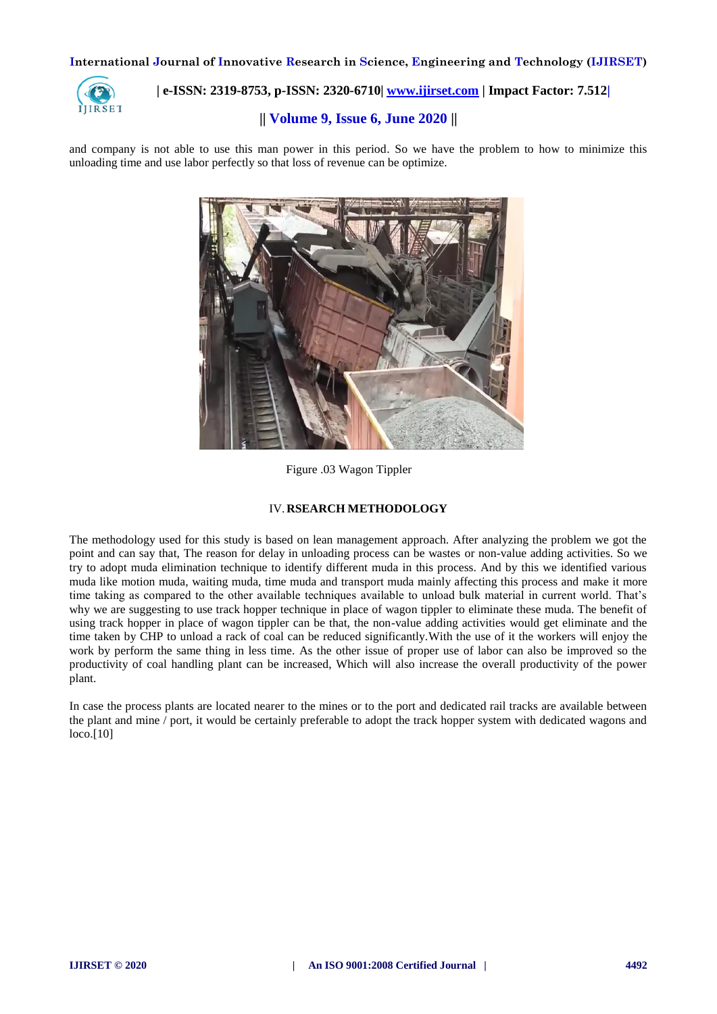

# **| e-ISSN: 2319-8753, p-ISSN: 2320-6710| [www.ijirset.com](http://www.ijirset.com/) | Impact Factor: 7.512|**

# **|| Volume 9, Issue 6, June 2020 ||**

and company is not able to use this man power in this period. So we have the problem to how to minimize this unloading time and use labor perfectly so that loss of revenue can be optimize.



Figure .03 Wagon Tippler

#### IV.**RSEARCH METHODOLOGY**

The methodology used for this study is based on lean management approach. After analyzing the problem we got the point and can say that, The reason for delay in unloading process can be wastes or non-value adding activities. So we try to adopt muda elimination technique to identify different muda in this process. And by this we identified various muda like motion muda, waiting muda, time muda and transport muda mainly affecting this process and make it more time taking as compared to the other available techniques available to unload bulk material in current world. That's why we are suggesting to use track hopper technique in place of wagon tippler to eliminate these muda. The benefit of using track hopper in place of wagon tippler can be that, the non-value adding activities would get eliminate and the time taken by CHP to unload a rack of coal can be reduced significantly.With the use of it the workers will enjoy the work by perform the same thing in less time. As the other issue of proper use of labor can also be improved so the productivity of coal handling plant can be increased, Which will also increase the overall productivity of the power plant.

In case the process plants are located nearer to the mines or to the port and dedicated rail tracks are available between the plant and mine / port, it would be certainly preferable to adopt the track hopper system with dedicated wagons and loco.[10]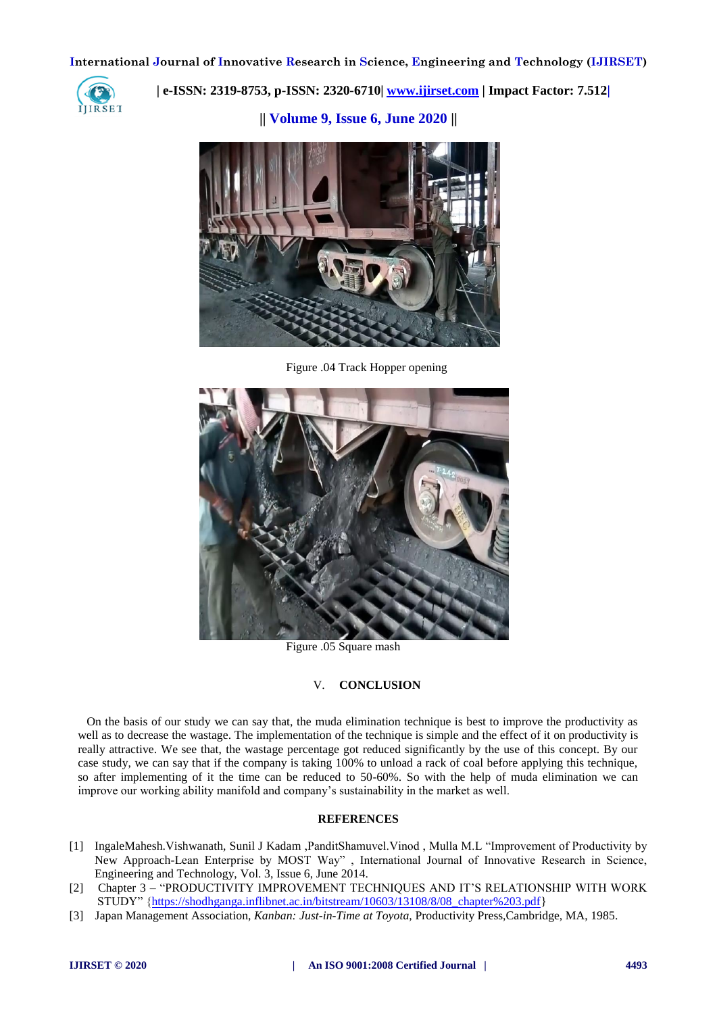

 **| e-ISSN: 2319-8753, p-ISSN: 2320-6710| [www.ijirset.com](http://www.ijirset.com/) | Impact Factor: 7.512|**

**|| Volume 9, Issue 6, June 2020 ||** 



Figure .04 Track Hopper opening



Figure .05 Square mash

#### V. **CONCLUSION**

On the basis of our study we can say that, the muda elimination technique is best to improve the productivity as well as to decrease the wastage. The implementation of the technique is simple and the effect of it on productivity is really attractive. We see that, the wastage percentage got reduced significantly by the use of this concept. By our case study, we can say that if the company is taking 100% to unload a rack of coal before applying this technique, so after implementing of it the time can be reduced to 50-60%. So with the help of muda elimination we can improve our working ability manifold and company's sustainability in the market as well.

#### **REFERENCES**

- [1] IngaleMahesh.Vishwanath, Sunil J Kadam ,PanditShamuvel.Vinod , Mulla M.L "Improvement of Productivity by New Approach-Lean Enterprise by MOST Way" , International Journal of Innovative Research in Science, Engineering and Technology, Vol. 3, Issue 6, June 2014.
- [2] Chapter 3 "PRODUCTIVITY IMPROVEMENT TECHNIQUES AND IT'S RELATIONSHIP WITH WORK STUDY" [{https://shodhganga.inflibnet.ac.in/bitstream/10603/13108/8/08\\_chapter%203.pdf}](https://shodhganga.inflibnet.ac.in/bitstream/10603/13108/8/08_chapter%203.pdf)
- [3] Japan Management Association, *Kanban: Just-in-Time at Toyota,* Productivity Press,Cambridge, MA, 1985.